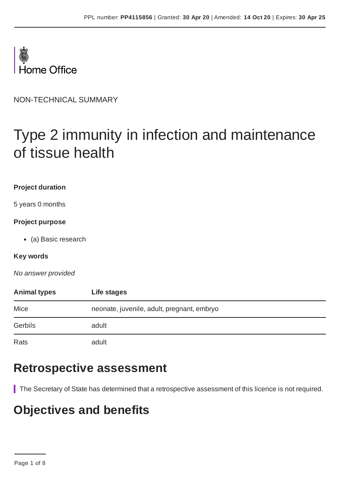

NON-TECHNICAL SUMMARY

# Type 2 immunity in infection and maintenance of tissue health

#### **Project duration**

5 years 0 months

#### **Project purpose**

(a) Basic research

#### **Key words**

*No answer provided*

| <b>Animal types</b> | Life stages                                |  |
|---------------------|--------------------------------------------|--|
| Mice                | neonate, juvenile, adult, pregnant, embryo |  |
| Gerbils             | adult                                      |  |
| Rats                | adult                                      |  |

### **Retrospective assessment**

The Secretary of State has determined that a retrospective assessment of this licence is not required.

### **Objectives and benefits**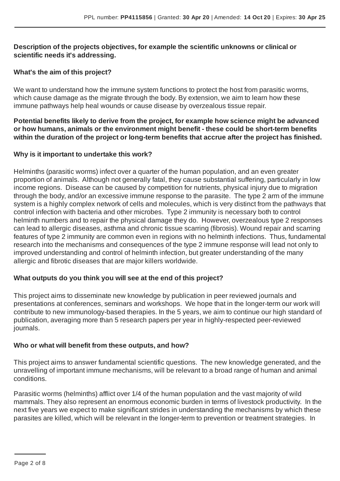#### **Description of the projects objectives, for example the scientific unknowns or clinical or scientific needs it's addressing.**

#### **What's the aim of this project?**

We want to understand how the immune system functions to protect the host from parasitic worms, which cause damage as the migrate through the body. By extension, we aim to learn how these immune pathways help heal wounds or cause disease by overzealous tissue repair.

**Potential benefits likely to derive from the project, for example how science might be advanced or how humans, animals or the environment might benefit - these could be short-term benefits within the duration of the project or long-term benefits that accrue after the project has finished.**

#### **Why is it important to undertake this work?**

Helminths (parasitic worms) infect over a quarter of the human population, and an even greater proportion of animals. Although not generally fatal, they cause substantial suffering, particularly in low income regions. Disease can be caused by competition for nutrients, physical injury due to migration through the body, and/or an excessive immune response to the parasite. The type 2 arm of the immune system is a highly complex network of cells and molecules, which is very distinct from the pathways that control infection with bacteria and other microbes. Type 2 immunity is necessary both to control helminth numbers and to repair the physical damage they do. However, overzealous type 2 responses can lead to allergic diseases, asthma and chronic tissue scarring (fibrosis). Wound repair and scarring features of type 2 immunity are common even in regions with no helminth infections. Thus, fundamental research into the mechanisms and consequences of the type 2 immune response will lead not only to improved understanding and control of helminth infection, but greater understanding of the many allergic and fibrotic diseases that are major killers worldwide.

#### **What outputs do you think you will see at the end of this project?**

This project aims to disseminate new knowledge by publication in peer reviewed journals and presentations at conferences, seminars and workshops. We hope that in the longer-term our work will contribute to new immunology-based therapies. In the 5 years, we aim to continue our high standard of publication, averaging more than 5 research papers per year in highly-respected peer-reviewed journals.

#### **Who or what will benefit from these outputs, and how?**

This project aims to answer fundamental scientific questions. The new knowledge generated, and the unravelling of important immune mechanisms, will be relevant to a broad range of human and animal conditions.

Parasitic worms (helminths) afflict over 1/4 of the human population and the vast majority of wild mammals. They also represent an enormous economic burden in terms of livestock productivity. In the next five years we expect to make significant strides in understanding the mechanisms by which these parasites are killed, which will be relevant in the longer-term to prevention or treatment strategies. In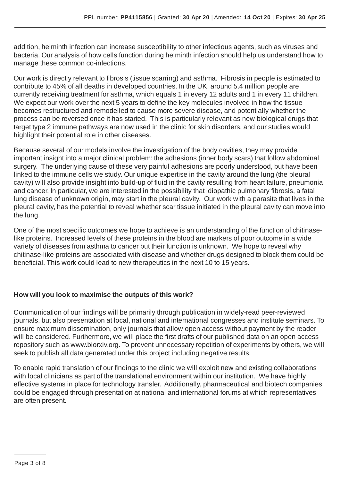addition, helminth infection can increase susceptibility to other infectious agents, such as viruses and bacteria. Our analysis of how cells function during helminth infection should help us understand how to manage these common co-infections.

Our work is directly relevant to fibrosis (tissue scarring) and asthma. Fibrosis in people is estimated to contribute to 45% of all deaths in developed countries. In the UK, around 5.4 million people are currently receiving treatment for asthma, which equals 1 in every 12 adults and 1 in every 11 children. We expect our work over the next 5 years to define the key molecules involved in how the tissue becomes restructured and remodelled to cause more severe disease, and potentially whether the process can be reversed once it has started. This is particularly relevant as new biological drugs that target type 2 immune pathways are now used in the clinic for skin disorders, and our studies would highlight their potential role in other diseases.

Because several of our models involve the investigation of the body cavities, they may provide important insight into a major clinical problem: the adhesions (inner body scars) that follow abdominal surgery. The underlying cause of these very painful adhesions are poorly understood, but have been linked to the immune cells we study. Our unique expertise in the cavity around the lung (the pleural cavity) will also provide insight into build-up of fluid in the cavity resulting from heart failure, pneumonia and cancer. In particular, we are interested in the possibility that idiopathic pulmonary fibrosis, a fatal lung disease of unknown origin, may start in the pleural cavity. Our work with a parasite that lives in the pleural cavity, has the potential to reveal whether scar tissue initiated in the pleural cavity can move into the lung.

One of the most specific outcomes we hope to achieve is an understanding of the function of chitinaselike proteins. Increased levels of these proteins in the blood are markers of poor outcome in a wide variety of diseases from asthma to cancer but their function is unknown. We hope to reveal why chitinase-like proteins are associated with disease and whether drugs designed to block them could be beneficial. This work could lead to new therapeutics in the next 10 to 15 years.

#### **How will you look to maximise the outputs of this work?**

Communication of our findings will be primarily through publication in widely-read peer-reviewed journals, but also presentation at local, national and international congresses and institute seminars. To ensure maximum dissemination, only journals that allow open access without payment by the reader will be considered. Furthermore, we will place the first drafts of our published data on an open access repository such as www.biorxiv.org. To prevent unnecessary repetition of experiments by others, we will seek to publish all data generated under this project including negative results.

To enable rapid translation of our findings to the clinic we will exploit new and existing collaborations with local clinicians as part of the translational environment within our institution. We have highly effective systems in place for technology transfer. Additionally, pharmaceutical and biotech companies could be engaged through presentation at national and international forums at which representatives are often present.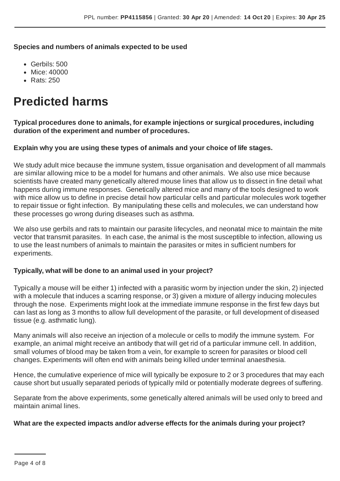**Species and numbers of animals expected to be used**

- Gerbils: 500
- Mice: 40000
- Rats: 250

### **Predicted harms**

**Typical procedures done to animals, for example injections or surgical procedures, including duration of the experiment and number of procedures.**

#### **Explain why you are using these types of animals and your choice of life stages.**

We study adult mice because the immune system, tissue organisation and development of all mammals are similar allowing mice to be a model for humans and other animals. We also use mice because scientists have created many genetically altered mouse lines that allow us to dissect in fine detail what happens during immune responses. Genetically altered mice and many of the tools designed to work with mice allow us to define in precise detail how particular cells and particular molecules work together to repair tissue or fight infection. By manipulating these cells and molecules, we can understand how these processes go wrong during diseases such as asthma.

We also use gerbils and rats to maintain our parasite lifecycles, and neonatal mice to maintain the mite vector that transmit parasites. In each case, the animal is the most susceptible to infection, allowing us to use the least numbers of animals to maintain the parasites or mites in sufficient numbers for experiments.

#### **Typically, what will be done to an animal used in your project?**

Typically a mouse will be either 1) infected with a parasitic worm by injection under the skin, 2) injected with a molecule that induces a scarring response, or 3) given a mixture of allergy inducing molecules through the nose. Experiments might look at the immediate immune response in the first few days but can last as long as 3 months to allow full development of the parasite, or full development of diseased tissue (e.g. asthmatic lung).

Many animals will also receive an injection of a molecule or cells to modify the immune system. For example, an animal might receive an antibody that will get rid of a particular immune cell. In addition, small volumes of blood may be taken from a vein, for example to screen for parasites or blood cell changes. Experiments will often end with animals being killed under terminal anaesthesia.

Hence, the cumulative experience of mice will typically be exposure to 2 or 3 procedures that may each cause short but usually separated periods of typically mild or potentially moderate degrees of suffering.

Separate from the above experiments, some genetically altered animals will be used only to breed and maintain animal lines.

#### **What are the expected impacts and/or adverse effects for the animals during your project?**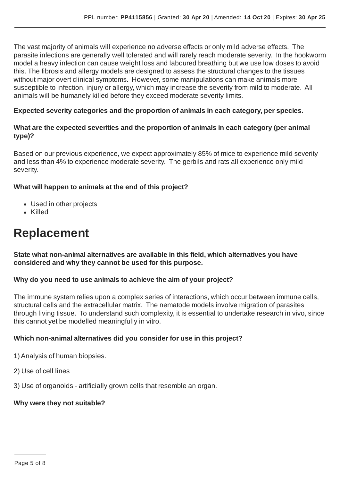The vast majority of animals will experience no adverse effects or only mild adverse effects. The parasite infections are generally well tolerated and will rarely reach moderate severity. In the hookworm model a heavy infection can cause weight loss and laboured breathing but we use low doses to avoid this. The fibrosis and allergy models are designed to assess the structural changes to the tissues without major overt clinical symptoms. However, some manipulations can make animals more susceptible to infection, injury or allergy, which may increase the severity from mild to moderate. All animals will be humanely killed before they exceed moderate severity limits.

#### **Expected severity categories and the proportion of animals in each category, per species.**

#### **What are the expected severities and the proportion of animals in each category (per animal type)?**

Based on our previous experience, we expect approximately 85% of mice to experience mild severity and less than 4% to experience moderate severity. The gerbils and rats all experience only mild severity.

#### **What will happen to animals at the end of this project?**

- Used in other projects
- Killed

### **Replacement**

**State what non-animal alternatives are available in this field, which alternatives you have considered and why they cannot be used for this purpose.**

#### **Why do you need to use animals to achieve the aim of your project?**

The immune system relies upon a complex series of interactions, which occur between immune cells, structural cells and the extracellular matrix. The nematode models involve migration of parasites through living tissue. To understand such complexity, it is essential to undertake research in vivo, since this cannot yet be modelled meaningfully in vitro.

#### **Which non-animal alternatives did you consider for use in this project?**

1) Analysis of human biopsies.

- 2) Use of cell lines
- 3) Use of organoids artificially grown cells that resemble an organ.

#### **Why were they not suitable?**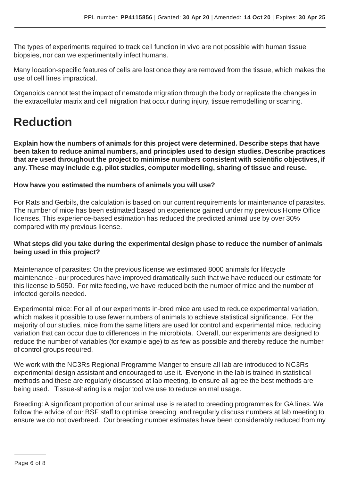The types of experiments required to track cell function in vivo are not possible with human tissue biopsies, nor can we experimentally infect humans.

Many location-specific features of cells are lost once they are removed from the tissue, which makes the use of cell lines impractical.

Organoids cannot test the impact of nematode migration through the body or replicate the changes in the extracellular matrix and cell migration that occur during injury, tissue remodelling or scarring.

## **Reduction**

**Explain how the numbers of animals for this project were determined. Describe steps that have been taken to reduce animal numbers, and principles used to design studies. Describe practices that are used throughout the project to minimise numbers consistent with scientific objectives, if any. These may include e.g. pilot studies, computer modelling, sharing of tissue and reuse.**

#### **How have you estimated the numbers of animals you will use?**

For Rats and Gerbils, the calculation is based on our current requirements for maintenance of parasites. The number of mice has been estimated based on experience gained under my previous Home Office licenses. This experience-based estimation has reduced the predicted animal use by over 30% compared with my previous license.

#### **What steps did you take during the experimental design phase to reduce the number of animals being used in this project?**

Maintenance of parasites: On the previous license we estimated 8000 animals for lifecycle maintenance - our procedures have improved dramatically such that we have reduced our estimate for this license to 5050. For mite feeding, we have reduced both the number of mice and the number of infected gerbils needed.

Experimental mice: For all of our experiments in-bred mice are used to reduce experimental variation, which makes it possible to use fewer numbers of animals to achieve statistical significance. For the majority of our studies, mice from the same litters are used for control and experimental mice, reducing variation that can occur due to differences in the microbiota. Overall, our experiments are designed to reduce the number of variables (for example age) to as few as possible and thereby reduce the number of control groups required.

We work with the NC3Rs Regional Programme Manger to ensure all lab are introduced to NC3Rs experimental design assistant and encouraged to use it. Everyone in the lab is trained in statistical methods and these are regularly discussed at lab meeting, to ensure all agree the best methods are being used. Tissue-sharing is a major tool we use to reduce animal usage.

Breeding:A significant proportion of our animal use is related to breeding programmes for GA lines. We follow the advice of our BSF staff to optimise breeding and regularly discuss numbers at lab meeting to ensure we do not overbreed. Our breeding number estimates have been considerably reduced from my

Page 6 of 8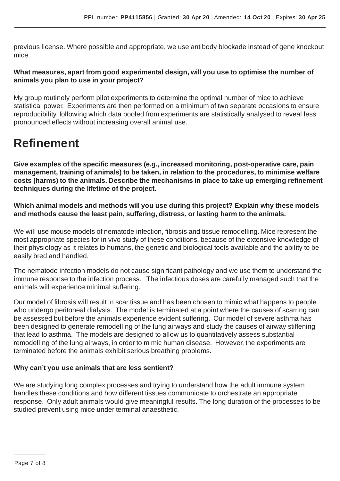previous license. Where possible and appropriate, we use antibody blockade instead of gene knockout mice.

#### **What measures, apart from good experimental design, will you use to optimise the number of animals you plan to use in your project?**

My group routinely perform pilot experiments to determine the optimal number of mice to achieve statistical power. Experiments are then performed on a minimum of two separate occasions to ensure reproducibility, following which data pooled from experiments are statistically analysed to reveal less pronounced effects without increasing overall animal use.

### **Refinement**

**Give examples of the specific measures (e.g., increased monitoring, post-operative care, pain management, training of animals) to be taken, in relation to the procedures, to minimise welfare costs (harms) to the animals. Describe the mechanisms in place to take up emerging refinement techniques during the lifetime of the project.**

**Which animal models and methods will you use during this project? Explain why these models and methods cause the least pain, suffering, distress, or lasting harm to the animals.**

We will use mouse models of nematode infection, fibrosis and tissue remodelling. Mice represent the most appropriate species for in vivo study of these conditions, because of the extensive knowledge of their physiology as it relates to humans, the genetic and biological tools available and the ability to be easily bred and handled.

The nematode infection models do not cause significant pathology and we use them to understand the immune response to the infection process. The infectious doses are carefully managed such that the animals will experience minimal suffering.

Our model of fibrosis will result in scar tissue and has been chosen to mimic what happens to people who undergo peritoneal dialysis. The model is terminated at a point where the causes of scarring can be assessed but before the animals experience evident suffering. Our model of severe asthma has been designed to generate remodelling of the lung airways and study the causes of airway stiffening that lead to asthma. The models are designed to allow us to quantitatively assess substantial remodelling of the lung airways, in order to mimic human disease. However, the experiments are terminated before the animals exhibit serious breathing problems.

#### **Why can't you use animals that are less sentient?**

We are studying long complex processes and trying to understand how the adult immune system handles these conditions and how different tissues communicate to orchestrate an appropriate response. Only adult animals would give meaningful results. The long duration of the processes to be studied prevent using mice under terminal anaesthetic.

Page 7 of 8